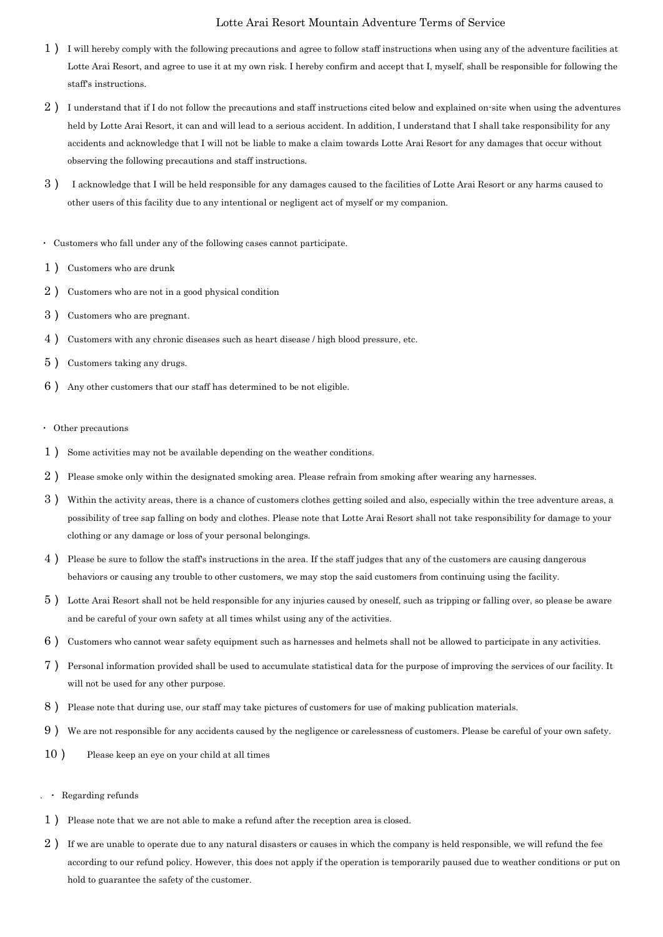## Lotte Arai Resort Mountain Adventure Terms of Service

- 1) I will hereby comply with the following precautions and agree to follow staff instructions when using any of the adventure facilities at Lotte Arai Resort, and agree to use it at my own risk. I hereby confirm and accept that I, myself, shall be responsible for following the staff's instructions.
- $2$ ) I understand that if I do not follow the precautions and staff instructions cited below and explained on-site when using the adventures held by Lotte Arai Resort, it can and will lead to a serious accident. In addition, I understand that I shall take responsibility for any accidents and acknowledge that I will not be liable to make a claim towards Lotte Arai Resort for any damages that occur without observing the following precautions and staff instructions.
- 3) I acknowledge that I will be held responsible for any damages caused to the facilities of Lotte Arai Resort or any harms caused to other users of this facility due to any intentional or negligent act of myself or my companion.
- ・ Customers who fall under any of the following cases cannot participate.
- 1) Customers who are drunk
- 2) Customers who are not in a good physical condition
- 3) Customers who are pregnant.
- 4) Customers with any chronic diseases such as heart disease / high blood pressure, etc.
- 5) Customers taking any drugs.
- 6) Any other customers that our staff has determined to be not eligible.
- ・ Other precautions
- 1) Some activities may not be available depending on the weather conditions.
- $2$ ) Please smoke only within the designated smoking area. Please refrain from smoking after wearing any harnesses.
- 3) Within the activity areas, there is a chance of customers clothes getting soiled and also, especially within the tree adventure areas, a possibility of tree sap falling on body and clothes. Please note that Lotte Arai Resort shall not take responsibility for damage to your clothing or any damage or loss of your personal belongings.
- 4) Please be sure to follow the staff's instructions in the area. If the staff judges that any of the customers are causing dangerous behaviors or causing any trouble to other customers, we may stop the said customers from continuing using the facility.
- 5) Lotte Arai Resort shall not be held responsible for any injuries caused by oneself, such as tripping or falling over, so please be aware and be careful of your own safety at all times whilst using any of the activities.
- 6) Customers who cannot wear safety equipment such as harnesses and helmets shall not be allowed to participate in any activities.
- 7) Personal information provided shall be used to accumulate statistical data for the purpose of improving the services of our facility. It will not be used for any other purpose.
- 8) Please note that during use, our staff may take pictures of customers for use of making publication materials.
- 9) We are not responsible for any accidents caused by the negligence or carelessness of customers. Please be careful of your own safety.
- 10) Please keep an eye on your child at all times
- Regarding refunds
- 1) Please note that we are not able to make a refund after the reception area is closed.
- 2) If we are unable to operate due to any natural disasters or causes in which the company is held responsible, we will refund the fee according to our refund policy. However, this does not apply if the operation is temporarily paused due to weather conditions or put on hold to guarantee the safety of the customer.